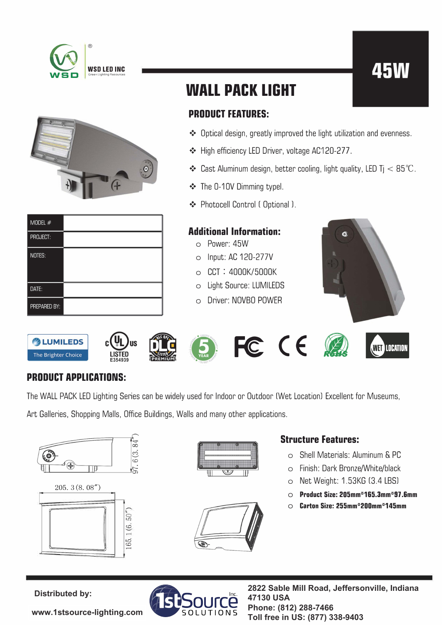





| MODEL $#$    |  |
|--------------|--|
| PROJECT:     |  |
| NOTES:       |  |
| DATE:        |  |
| PREPARED BY: |  |

## **WALL PACK LIGHT**

### **PRODUCT FEATURES:**

- ❖ Optical design, greatly improved the light utilization and evenness.
- ❖ High efficiency LED Driver, voltage AC120-277.
- $\clubsuit$  Cast Aluminum design, better cooling, light quality, LED Tj  $< 85^{\circ}\mathrm{C}$ .
- ❖ The 0-1 OV Dimming typel.
- ❖ Photocell Control ( Optional l.

#### **Additional Information:**

- o Power: 45W
- o Input: AC 120-277V
- o CCT : 4000K/5000K
- o Light Source: LUMILEDS
- o Driver: NOVBO POWER

















### **PRODUCT APPLICATIONS:**

The WALL PACK LED Lighting Series can be widely used for Indoor or Outdoor (Wet Location) Excellent for Museums,

Art Galleries, Shopping Malls, Office Buildings, Walls and many other applications.







#### **Structure Features:**

- o Shell Materials: Aluminum & PC
- o Finish: Dark Bronze/White/black
- o Net Weight: 1.53KG (3.4 LBS)
- o **Product Size: 205mm\*165.3mm\*97.&mm**
- o **Carton Size: 255mm\*200mm\*145mm**

**[www.1stsource-lighting.com](https://www.1stsource-lighting.com)**



**Distributed by: 2822 Sable Mill Road, Jeffersonville, Indiana 47130 USA Phone: (812) 288-7466 Toll free in US: (877) 338-9403**